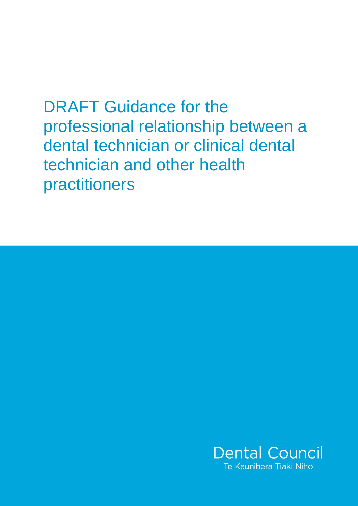DRAFT Guidance for the professional relationship between a dental technician or clinical dental technician and other health practitioners

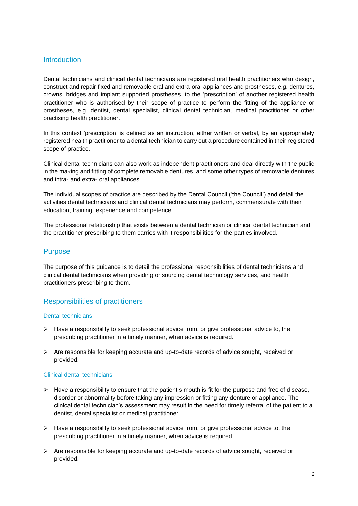# Introduction

Dental technicians and clinical dental technicians are registered oral health practitioners who design, construct and repair fixed and removable oral and extra-oral appliances and prostheses, e.g. dentures, crowns, bridges and implant supported prostheses, to the 'prescription' of another registered health practitioner who is authorised by their scope of practice to perform the fitting of the appliance or prostheses, e.g. dentist, dental specialist, clinical dental technician, medical practitioner or other practising health practitioner.

In this context 'prescription' is defined as an instruction, either written or verbal, by an appropriately registered health practitioner to a dental technician to carry out a procedure contained in their registered scope of practice.

Clinical dental technicians can also work as independent practitioners and deal directly with the public in the making and fitting of complete removable dentures, and some other types of removable dentures and intra- and extra- oral appliances.

The individual scopes of practice are described by the Dental Council ('the Council') and detail the activities dental technicians and clinical dental technicians may perform, commensurate with their education, training, experience and competence.

The professional relationship that exists between a dental technician or clinical dental technician and the practitioner prescribing to them carries with it responsibilities for the parties involved.

## Purpose

The purpose of this guidance is to detail the professional responsibilities of dental technicians and clinical dental technicians when providing or sourcing dental technology services, and health practitioners prescribing to them.

# Responsibilities of practitioners

## Dental technicians

- $\triangleright$  Have a responsibility to seek professional advice from, or give professional advice to, the prescribing practitioner in a timely manner, when advice is required.
- ➢ Are responsible for keeping accurate and up-to-date records of advice sought, received or provided.

## Clinical dental technicians

- ➢ Have a responsibility to ensure that the patient's mouth is fit for the purpose and free of disease, disorder or abnormality before taking any impression or fitting any denture or appliance. The clinical dental technician's assessment may result in the need for timely referral of the patient to a dentist, dental specialist or medical practitioner.
- $\blacktriangleright$  Have a responsibility to seek professional advice from, or give professional advice to, the prescribing practitioner in a timely manner, when advice is required.
- ➢ Are responsible for keeping accurate and up-to-date records of advice sought, received or provided.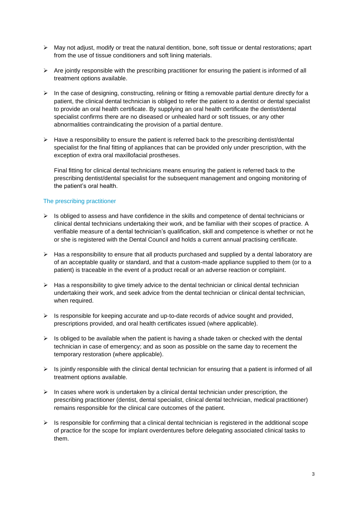- $\triangleright$  May not adjust, modify or treat the natural dentition, bone, soft tissue or dental restorations; apart from the use of tissue conditioners and soft lining materials.
- $\triangleright$  Are jointly responsible with the prescribing practitioner for ensuring the patient is informed of all treatment options available.
- $\triangleright$  In the case of designing, constructing, relining or fitting a removable partial denture directly for a patient, the clinical dental technician is obliged to refer the patient to a dentist or dental specialist to provide an oral health certificate. By supplying an oral health certificate the dentist/dental specialist confirms there are no diseased or unhealed hard or soft tissues, or any other abnormalities contraindicating the provision of a partial denture.
- $\triangleright$  Have a responsibility to ensure the patient is referred back to the prescribing dentist/dental specialist for the final fitting of appliances that can be provided only under prescription, with the exception of extra oral maxillofacial prostheses.

Final fitting for clinical dental technicians means ensuring the patient is referred back to the prescribing dentist/dental specialist for the subsequent management and ongoing monitoring of the patient's oral health.

## The prescribing practitioner

- $\triangleright$  Is obliged to assess and have confidence in the skills and competence of dental technicians or clinical dental technicians undertaking their work, and be familiar with their scopes of practice. A verifiable measure of a dental technician's qualification, skill and competence is whether or not he or she is registered with the Dental Council and holds a current annual practising certificate.
- $\triangleright$  Has a responsibility to ensure that all products purchased and supplied by a dental laboratory are of an acceptable quality or standard, and that a custom-made appliance supplied to them (or to a patient) is traceable in the event of a product recall or an adverse reaction or complaint.
- $\triangleright$  Has a responsibility to give timely advice to the dental technician or clinical dental technician undertaking their work, and seek advice from the dental technician or clinical dental technician, when required.
- $\triangleright$  Is responsible for keeping accurate and up-to-date records of advice sought and provided, prescriptions provided, and oral health certificates issued (where applicable).
- $\triangleright$  Is obliged to be available when the patient is having a shade taken or checked with the dental technician in case of emergency; and as soon as possible on the same day to recement the temporary restoration (where applicable).
- ➢ Is jointly responsible with the clinical dental technician for ensuring that a patient is informed of all treatment options available.
- $\triangleright$  In cases where work is undertaken by a clinical dental technician under prescription, the prescribing practitioner (dentist, dental specialist, clinical dental technician, medical practitioner) remains responsible for the clinical care outcomes of the patient.
- $\triangleright$  Is responsible for confirming that a clinical dental technician is registered in the additional scope of practice for the scope for implant overdentures before delegating associated clinical tasks to them.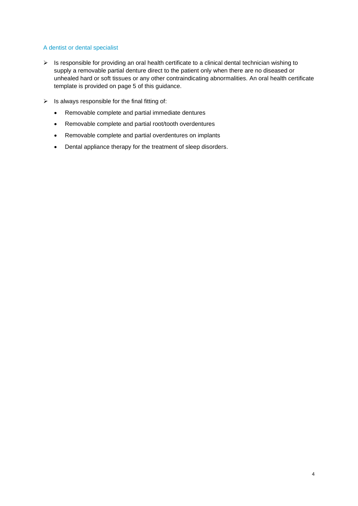## A dentist or dental specialist

- ➢ Is responsible for providing an oral health certificate to a clinical dental technician wishing to supply a removable partial denture direct to the patient only when there are no diseased or unhealed hard or soft tissues or any other contraindicating abnormalities. An oral health certificate template is provided on page 5 of this guidance.
- $\triangleright$  Is always responsible for the final fitting of:
	- Removable complete and partial immediate dentures
	- Removable complete and partial root/tooth overdentures
	- Removable complete and partial overdentures on implants
	- Dental appliance therapy for the treatment of sleep disorders.